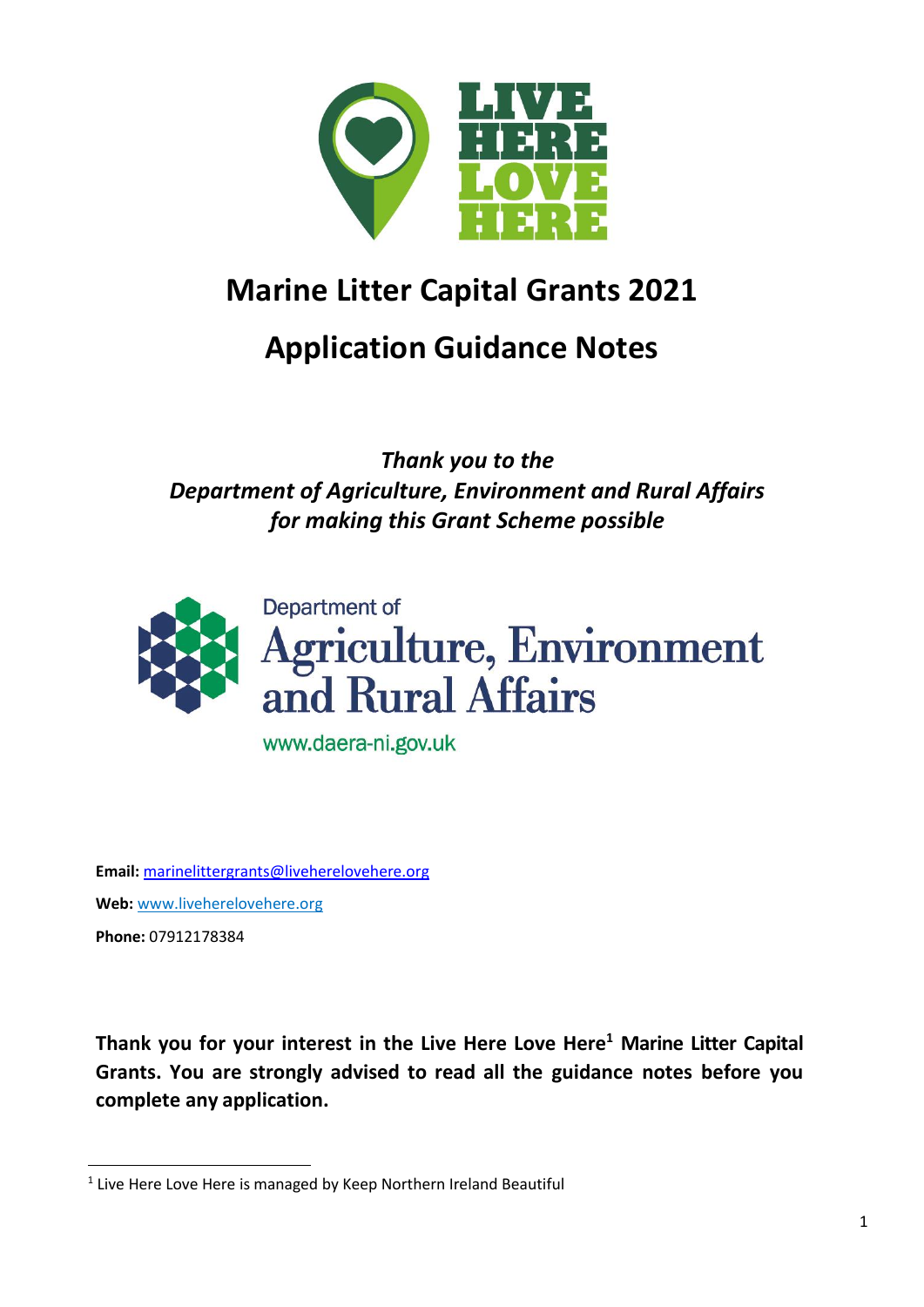

# **Marine Litter Capital Grants 2021**

# **Application Guidance Notes**

*Thank you to the Department of Agriculture, Environment and Rural Affairs for making this Grant Scheme possible*



www.daera-ni.gov.uk

**Email:** [marinelittergrants@liveherelovehere.org](mailto:marinelittergrants@liveherelovehere.org) **Web:** [www.liveherelovehere.org](http://www.liveherelovehere.org/) **Phone:** 07912178384

 $\overline{a}$ 

**Thank you for your interest in the Live Here Love Here<sup>1</sup> Marine Litter Capital Grants. You are strongly advised to read all the guidance notes before you complete any application.**

<sup>&</sup>lt;sup>1</sup> Live Here Love Here is managed by Keep Northern Ireland Beautiful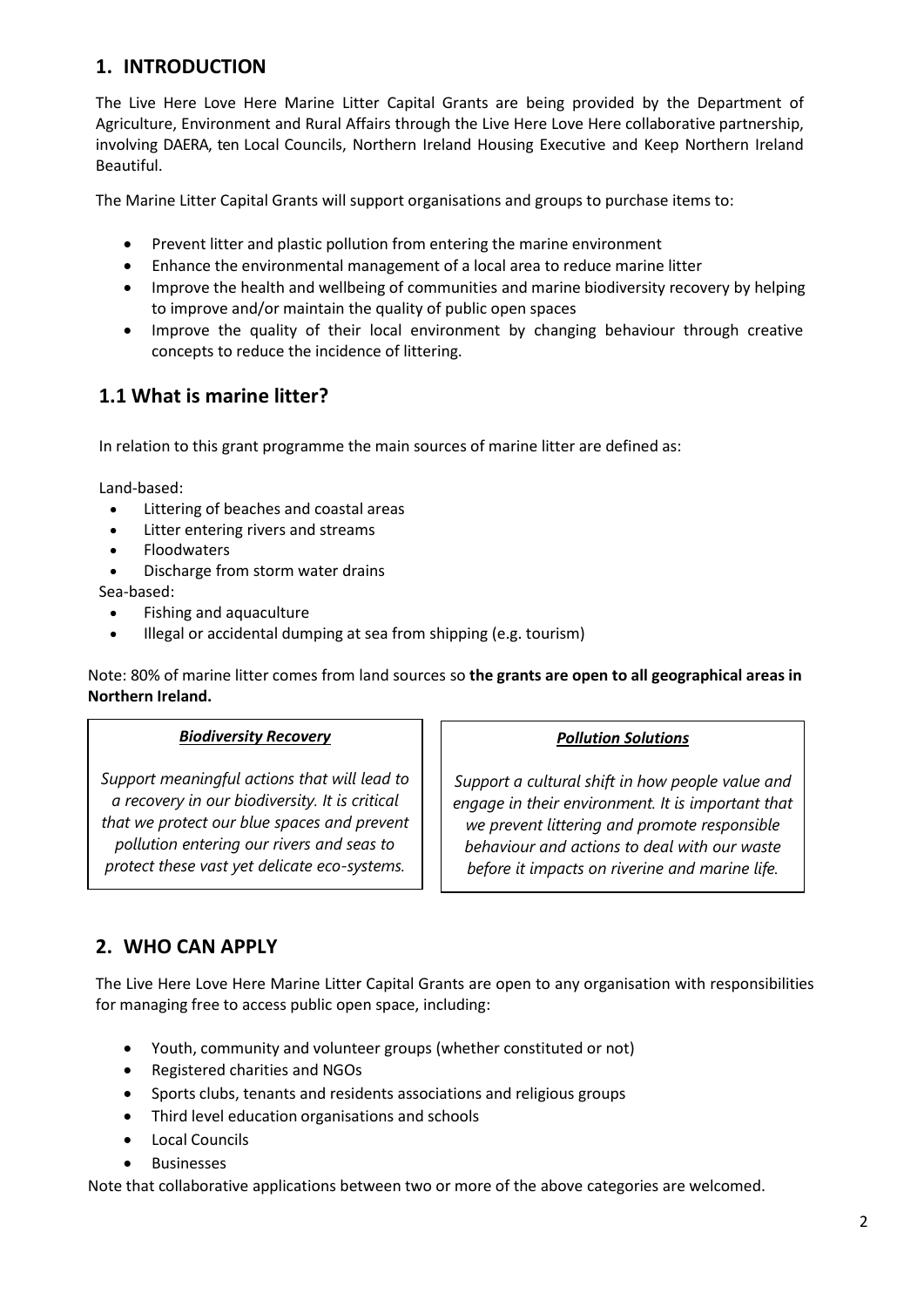## **1. INTRODUCTION**

The Live Here Love Here Marine Litter Capital Grants are being provided by the Department of Agriculture, Environment and Rural Affairs through the Live Here Love Here collaborative partnership, involving DAERA, ten Local Councils, Northern Ireland Housing Executive and Keep Northern Ireland Beautiful.

The Marine Litter Capital Grants will support organisations and groups to purchase items to:

- Prevent litter and plastic pollution from entering the marine environment
- Enhance the environmental management of a local area to reduce marine litter
- Improve the health and wellbeing of communities and marine biodiversity recovery by helping to improve and/or maintain the quality of public open spaces
- Improve the quality of their local environment by changing behaviour through creative concepts to reduce the incidence of littering.

# **1.1 What is marine litter?**

In relation to this grant programme the main sources of marine litter are defined as:

Land-based:

- Littering of beaches and coastal areas
- Litter entering rivers and streams
- Floodwaters
- Discharge from storm water drains

#### Sea-based:

- Fishing and aquaculture
- Illegal or accidental dumping at sea from shipping (e.g. tourism)

Note: 80% of marine litter comes from land sources so **the grants are open to all geographical areas in Northern Ireland.**

#### *Biodiversity Recovery*

*Support meaningful actions that will lead to a recovery in our biodiversity. It is critical that we protect our blue spaces and prevent pollution entering our rivers and seas to protect these vast yet delicate eco-systems.*

#### *Pollution Solutions*

*Support a cultural shift in how people value and engage in their environment. It is important that we prevent littering and promote responsible behaviour and actions to deal with our waste before it impacts on riverine and marine life.*

## **2. WHO CAN APPLY**

The Live Here Love Here Marine Litter Capital Grants are open to any organisation with responsibilities for managing free to access public open space, including:

- Youth, community and volunteer groups (whether constituted or not)
- Registered charities and NGOs
- Sports clubs, tenants and residents associations and religious groups
- Third level education organisations and schools
- Local Councils
- Businesses

Note that collaborative applications between two or more of the above categories are welcomed.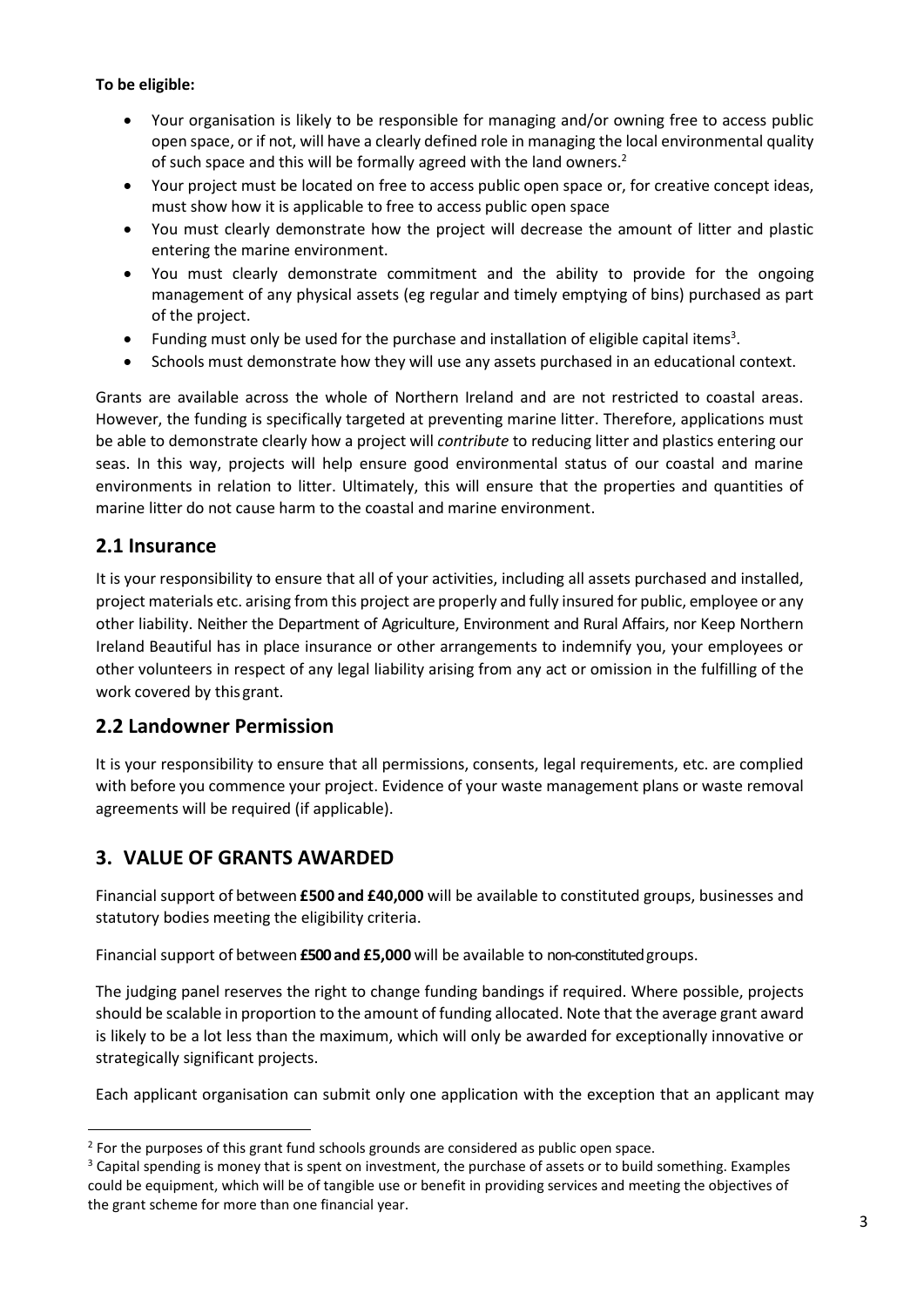#### **To be eligible:**

- Your organisation is likely to be responsible for managing and/or owning free to access public open space, or if not, will have a clearly defined role in managing the local environmental quality of such space and this will be formally agreed with the land owners.<sup>2</sup>
- Your project must be located on free to access public open space or, for creative concept ideas, must show how it is applicable to free to access public open space
- You must clearly demonstrate how the project will decrease the amount of litter and plastic entering the marine environment.
- You must clearly demonstrate commitment and the ability to provide for the ongoing management of any physical assets (eg regular and timely emptying of bins) purchased as part of the project.
- $\bullet$  Funding must only be used for the purchase and installation of eligible capital items<sup>3</sup>.
- Schools must demonstrate how they will use any assets purchased in an educational context.

Grants are available across the whole of Northern Ireland and are not restricted to coastal areas. However, the funding is specifically targeted at preventing marine litter. Therefore, applications must be able to demonstrate clearly how a project will *contribute* to reducing litter and plastics entering our seas. In this way, projects will help ensure good environmental status of our coastal and marine environments in relation to litter. Ultimately, this will ensure that the properties and quantities of marine litter do not cause harm to the coastal and marine environment.

## **2.1 Insurance**

 $\overline{a}$ 

It is your responsibility to ensure that all of your activities, including all assets purchased and installed, project materials etc. arising from this project are properly and fully insured for public, employee or any other liability. Neither the Department of Agriculture, Environment and Rural Affairs, nor Keep Northern Ireland Beautiful has in place insurance or other arrangements to indemnify you, your employees or other volunteers in respect of any legal liability arising from any act or omission in the fulfilling of the work covered by this grant.

## **2.2 Landowner Permission**

It is your responsibility to ensure that all permissions, consents, legal requirements, etc. are complied with before you commence your project. Evidence of your waste management plans or waste removal agreements will be required (if applicable).

## **3. VALUE OF GRANTS AWARDED**

Financial support of between **£500 and £40,000** will be available to constituted groups, businesses and statutory bodies meeting the eligibility criteria.

Financial support of between **£500and £5,000** will be available to non-constituted groups.

The judging panel reserves the right to change funding bandings if required. Where possible, projects should be scalable in proportion to the amount of funding allocated. Note that the average grant award is likely to be a lot less than the maximum, which will only be awarded for exceptionally innovative or strategically significant projects.

Each applicant organisation can submit only one application with the exception that an applicant may

 $^2$  For the purposes of this grant fund schools grounds are considered as public open space.

<sup>&</sup>lt;sup>3</sup> Capital spending is money that is spent on investment, the purchase of assets or to build something. Examples could be equipment, which will be of tangible use or benefit in providing services and meeting the objectives of the grant scheme for more than one financial year.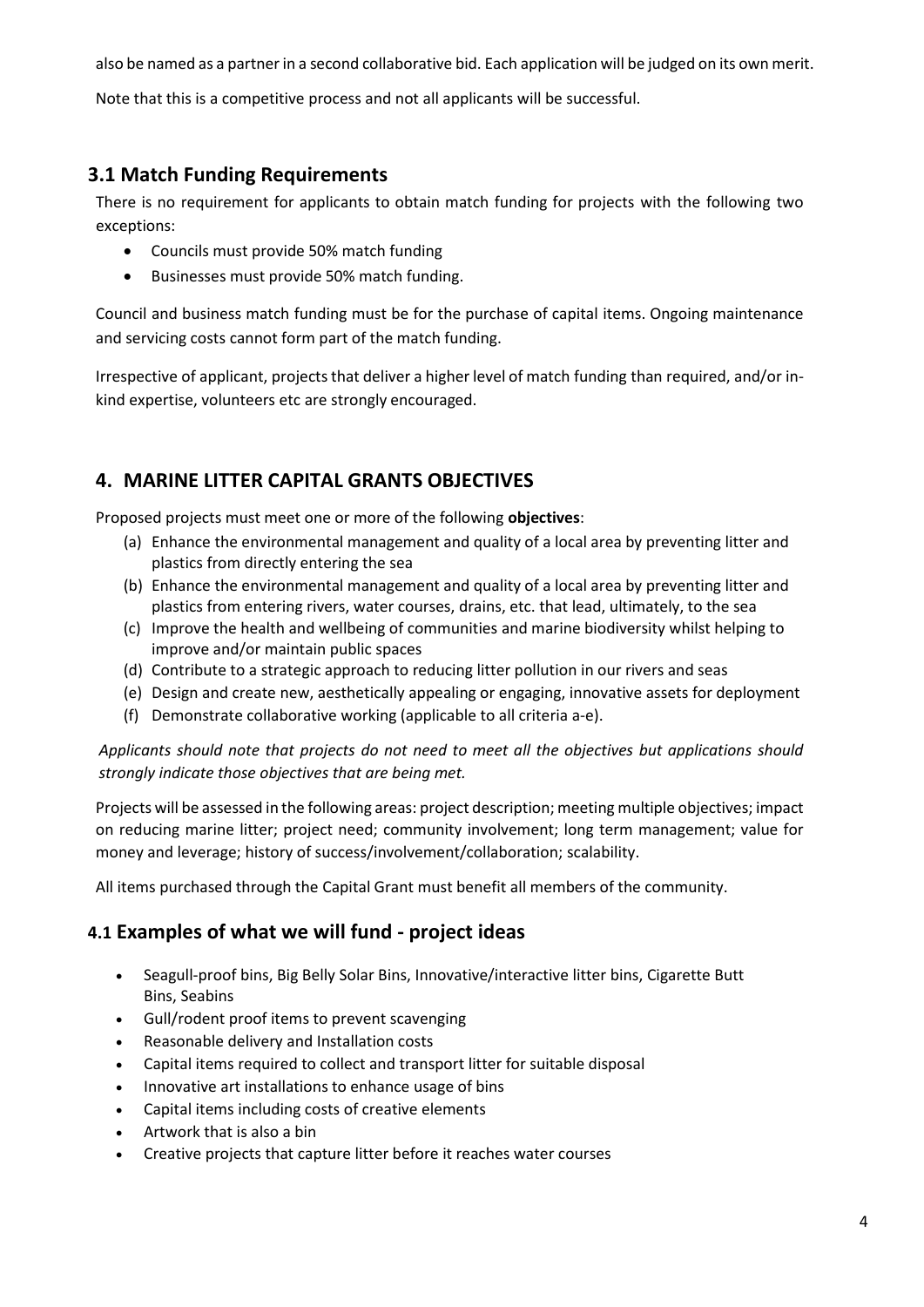also be named as a partner in a second collaborative bid. Each application will be judged on its own merit.

Note that this is a competitive process and not all applicants will be successful.

# **3.1 Match Funding Requirements**

There is no requirement for applicants to obtain match funding for projects with the following two exceptions:

- Councils must provide 50% match funding
- Businesses must provide 50% match funding.

Council and business match funding must be for the purchase of capital items. Ongoing maintenance and servicing costs cannot form part of the match funding.

Irrespective of applicant, projects that deliver a higher level of match funding than required, and/or inkind expertise, volunteers etc are strongly encouraged.

# **4. MARINE LITTER CAPITAL GRANTS OBJECTIVES**

Proposed projects must meet one or more of the following **objectives**:

- (a) Enhance the environmental management and quality of a local area by preventing litter and plastics from directly entering the sea
- (b) Enhance the environmental management and quality of a local area by preventing litter and plastics from entering rivers, water courses, drains, etc. that lead, ultimately, to the sea
- (c) Improve the health and wellbeing of communities and marine biodiversity whilst helping to improve and/or maintain public spaces
- (d) Contribute to a strategic approach to reducing litter pollution in our rivers and seas
- (e) Design and create new, aesthetically appealing or engaging, innovative assets for deployment
- (f) Demonstrate collaborative working (applicable to all criteria a-e).

*Applicants should note that projects do not need to meet all the objectives but applications should strongly indicate those objectives that are being met.*

Projects will be assessed in the following areas: project description; meeting multiple objectives; impact on reducing marine litter; project need; community involvement; long term management; value for money and leverage; history of success/involvement/collaboration; scalability.

All items purchased through the Capital Grant must benefit all members of the community.

## **4.1 Examples of what we will fund - project ideas**

- Seagull-proof bins, Big Belly Solar Bins, Innovative/interactive litter bins, Cigarette Butt Bins, Seabins
- Gull/rodent proof items to prevent scavenging
- Reasonable delivery and Installation costs
- Capital items required to collect and transport litter for suitable disposal
- Innovative art installations to enhance usage of bins
- Capital items including costs of creative elements
- Artwork that is also a bin
- Creative projects that capture litter before it reaches water courses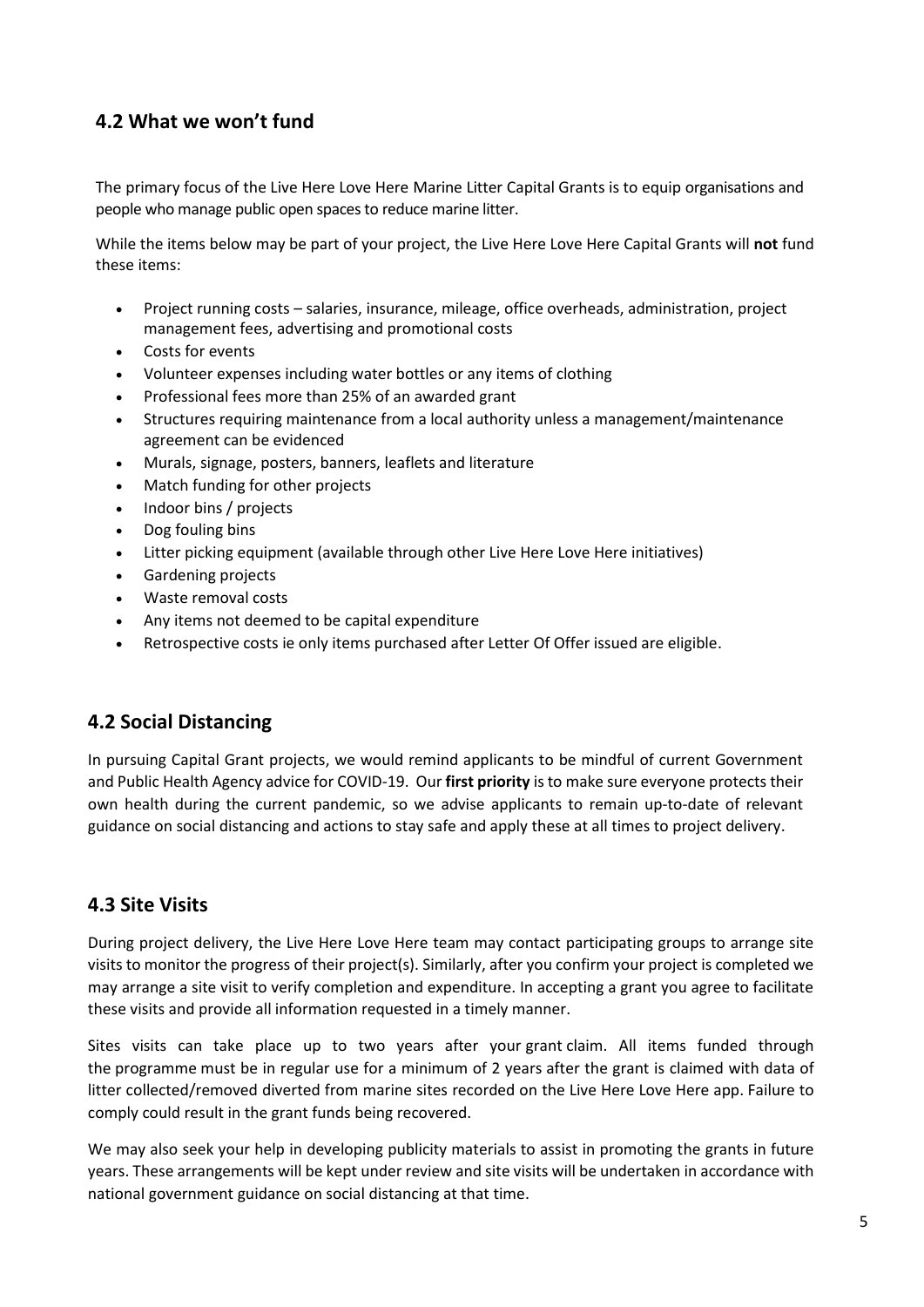## **4.2 What we won't fund**

The primary focus of the Live Here Love Here Marine Litter Capital Grants is to equip organisations and people who manage public open spaces to reduce marine litter.

While the items below may be part of your project, the Live Here Love Here Capital Grants will **not** fund these items:

- Project running costs salaries, insurance, mileage, office overheads, administration, project management fees, advertising and promotional costs
- Costs for events
- Volunteer expenses including water bottles or any items of clothing
- Professional fees more than 25% of an awarded grant
- Structures requiring maintenance from a local authority unless a management/maintenance agreement can be evidenced
- Murals, signage, posters, banners, leaflets and literature
- Match funding for other projects
- Indoor bins / projects
- Dog fouling bins
- Litter picking equipment (available through other Live Here Love Here initiatives)
- Gardening projects
- Waste removal costs
- Any items not deemed to be capital expenditure
- Retrospective costs ie only items purchased after Letter Of Offer issued are eligible.

### **4.2 Social Distancing**

In pursuing Capital Grant projects, we would remind applicants to be mindful of current Government and Public Health Agency advice for COVID-19. Our **first priority** is to make sure everyone protects their own health during the current pandemic, so we advise applicants to remain up-to-date of relevant guidance on social distancing and actions to stay safe and apply these at all times to project delivery.

## **4.3 Site Visits**

During project delivery, the Live Here Love Here team may contact participating groups to arrange site visits to monitor the progress of their project(s). Similarly, after you confirm your project is completed we may arrange a site visit to verify completion and expenditure. In accepting a grant you agree to facilitate these visits and provide all information requested in a timely manner.

Sites visits can take place up to two years after your grant claim. All items funded through the programme must be in regular use for a minimum of 2 years after the grant is claimed with data of litter collected/removed diverted from marine sites recorded on the Live Here Love Here app. Failure to comply could result in the grant funds being recovered.

We may also seek your help in developing publicity materials to assist in promoting the grants in future years. These arrangements will be kept under review and site visits will be undertaken in accordance with national government guidance on social distancing at that time.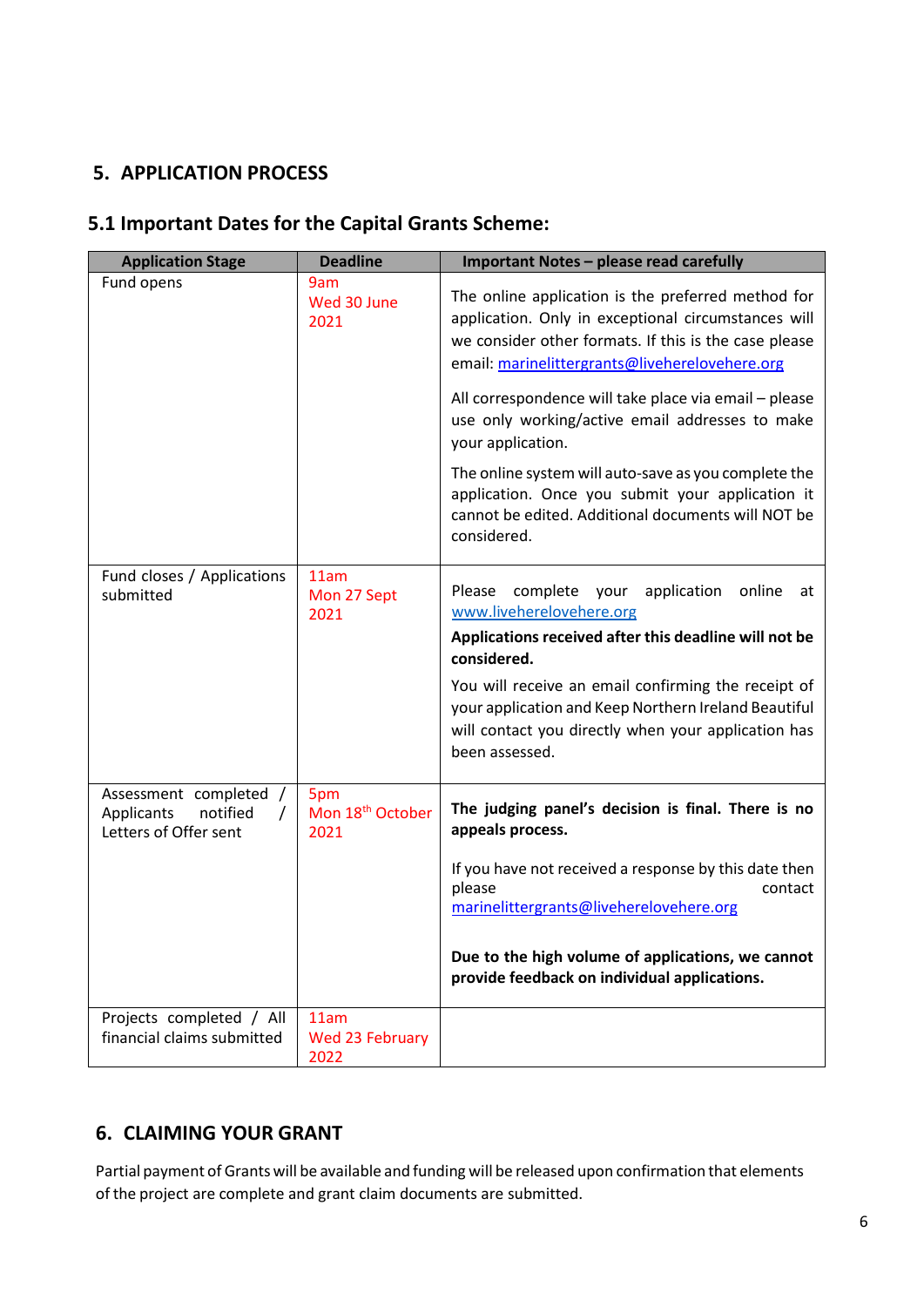# **5. APPLICATION PROCESS**

# **5.1 Important Dates for the Capital Grants Scheme:**

| <b>Application Stage</b>                                                  | <b>Deadline</b>                             | Important Notes - please read carefully                                                                                                                                                                              |
|---------------------------------------------------------------------------|---------------------------------------------|----------------------------------------------------------------------------------------------------------------------------------------------------------------------------------------------------------------------|
| Fund opens                                                                | 9am<br>Wed 30 June<br>2021                  | The online application is the preferred method for<br>application. Only in exceptional circumstances will<br>we consider other formats. If this is the case please<br>email: marinelittergrants@liveherelovehere.org |
|                                                                           |                                             | All correspondence will take place via email - please<br>use only working/active email addresses to make<br>your application.                                                                                        |
|                                                                           |                                             | The online system will auto-save as you complete the<br>application. Once you submit your application it<br>cannot be edited. Additional documents will NOT be<br>considered.                                        |
| Fund closes / Applications<br>submitted                                   | 11am<br>Mon 27 Sept<br>2021                 | complete your<br>Please<br>application<br>online<br>at<br>www.liveherelovehere.org                                                                                                                                   |
|                                                                           |                                             | Applications received after this deadline will not be<br>considered.                                                                                                                                                 |
|                                                                           |                                             | You will receive an email confirming the receipt of<br>your application and Keep Northern Ireland Beautiful<br>will contact you directly when your application has<br>been assessed.                                 |
| Assessment completed /<br>Applicants<br>notified<br>Letters of Offer sent | 5pm<br>Mon 18 <sup>th</sup> October<br>2021 | The judging panel's decision is final. There is no<br>appeals process.                                                                                                                                               |
|                                                                           |                                             | If you have not received a response by this date then<br>please<br>contact<br>marinelittergrants@liveherelovehere.org                                                                                                |
|                                                                           |                                             | Due to the high volume of applications, we cannot<br>provide feedback on individual applications.                                                                                                                    |
| Projects completed / All<br>financial claims submitted                    | 11am<br><b>Wed 23 February</b><br>2022      |                                                                                                                                                                                                                      |

# **6. CLAIMING YOUR GRANT**

Partial payment of Grants will be available and funding will be released upon confirmation that elements of the project are complete and grant claim documents are submitted.